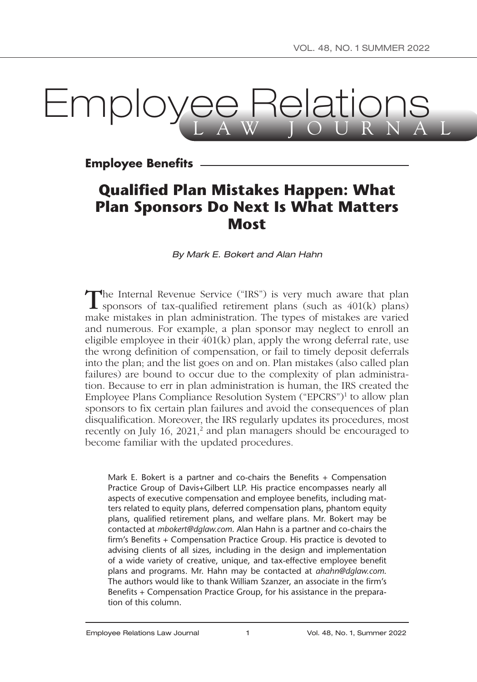# **Lmployee Relation**

**Employee Benefits**

# **Qualified Plan Mistakes Happen: What Plan Sponsors Do Next Is What Matters Most**

*By Mark E. Bokert and Alan Hahn*

The Internal Revenue Service ("IRS") is very much aware that plan sponsors of tax-qualified retirement plans (such as 401(k) plans) make mistakes in plan administration. The types of mistakes are varied and numerous. For example, a plan sponsor may neglect to enroll an eligible employee in their  $401(k)$  plan, apply the wrong deferral rate, use the wrong definition of compensation, or fail to timely deposit deferrals into the plan; and the list goes on and on. Plan mistakes (also called plan failures) are bound to occur due to the complexity of plan administration. Because to err in plan administration is human, the IRS created the Employee Plans Compliance Resolution System ("EPCRS")1 to allow plan sponsors to fix certain plan failures and avoid the consequences of plan disqualification. Moreover, the IRS regularly updates its procedures, most recently on July 16, 2021,<sup>2</sup> and plan managers should be encouraged to become familiar with the updated procedures.

Mark E. Bokert is a partner and co-chairs the Benefits + Compensation Practice Group of Davis+Gilbert LLP. His practice encompasses nearly all aspects of executive compensation and employee benefits, including matters related to equity plans, deferred compensation plans, phantom equity plans, qualified retirement plans, and welfare plans. Mr. Bokert may be contacted at *[mbokert@dglaw.com](mailto:mbokert@dglaw.com)*. Alan Hahn is a partner and co-chairs the firm's Benefits + Compensation Practice Group. His practice is devoted to advising clients of all sizes, including in the design and implementation of a wide variety of creative, unique, and tax-effective employee benefit plans and programs. Mr. Hahn may be contacted at *[ahahn@dglaw.com](mailto:ahahn@dglaw.com)*. The authors would like to thank William Szanzer, an associate in the firm's Benefits + Compensation Practice Group, for his assistance in the preparation of this column.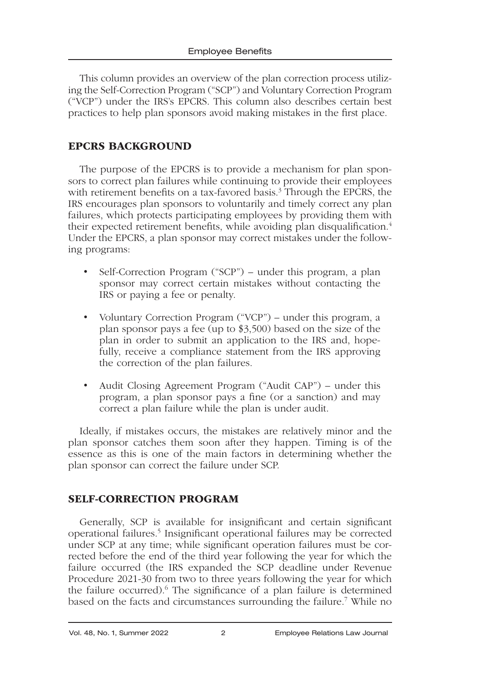This column provides an overview of the plan correction process utilizing the Self-Correction Program ("SCP") and Voluntary Correction Program ("VCP") under the IRS's EPCRS. This column also describes certain best practices to help plan sponsors avoid making mistakes in the first place.

# EPCRS BACKGROUND

The purpose of the EPCRS is to provide a mechanism for plan sponsors to correct plan failures while continuing to provide their employees with retirement benefits on a tax-favored basis.<sup>3</sup> Through the EPCRS, the IRS encourages plan sponsors to voluntarily and timely correct any plan failures, which protects participating employees by providing them with their expected retirement benefits, while avoiding plan disqualification.<sup>4</sup> Under the EPCRS, a plan sponsor may correct mistakes under the following programs:

- Self-Correction Program ("SCP") under this program, a plan sponsor may correct certain mistakes without contacting the IRS or paying a fee or penalty.
- Voluntary Correction Program ("VCP") under this program, a plan sponsor pays a fee (up to \$3,500) based on the size of the plan in order to submit an application to the IRS and, hopefully, receive a compliance statement from the IRS approving the correction of the plan failures.
- Audit Closing Agreement Program ("Audit CAP") under this program, a plan sponsor pays a fine (or a sanction) and may correct a plan failure while the plan is under audit.

Ideally, if mistakes occurs, the mistakes are relatively minor and the plan sponsor catches them soon after they happen. Timing is of the essence as this is one of the main factors in determining whether the plan sponsor can correct the failure under SCP.

# SELF-CORRECTION PROGRAM

Generally, SCP is available for insignificant and certain significant operational failures.<sup>5</sup> Insignificant operational failures may be corrected under SCP at any time; while significant operation failures must be corrected before the end of the third year following the year for which the failure occurred (the IRS expanded the SCP deadline under Revenue Procedure 2021-30 from two to three years following the year for which the failure occurred).<sup>6</sup> The significance of a plan failure is determined based on the facts and circumstances surrounding the failure.7 While no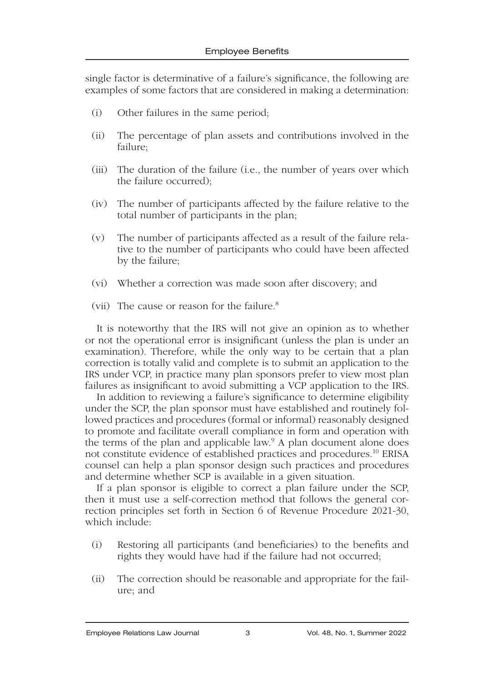single factor is determinative of a failure's significance, the following are examples of some factors that are considered in making a determination:

- (i) Other failures in the same period;
- (ii) The percentage of plan assets and contributions involved in the failure;
- (iii) The duration of the failure (i.e., the number of years over which the failure occurred);
- (iv) The number of participants affected by the failure relative to the total number of participants in the plan;
- (v) The number of participants affected as a result of the failure relative to the number of participants who could have been affected by the failure;
- (vi) Whether a correction was made soon after discovery; and
- (vii) The cause or reason for the failure.8

It is noteworthy that the IRS will not give an opinion as to whether or not the operational error is insignificant (unless the plan is under an examination). Therefore, while the only way to be certain that a plan correction is totally valid and complete is to submit an application to the IRS under VCP, in practice many plan sponsors prefer to view most plan failures as insignificant to avoid submitting a VCP application to the IRS.

In addition to reviewing a failure's significance to determine eligibility under the SCP, the plan sponsor must have established and routinely followed practices and procedures (formal or informal) reasonably designed to promote and facilitate overall compliance in form and operation with the terms of the plan and applicable law.<sup>9</sup> A plan document alone does not constitute evidence of established practices and procedures.10 ERISA counsel can help a plan sponsor design such practices and procedures and determine whether SCP is available in a given situation.

If a plan sponsor is eligible to correct a plan failure under the SCP, then it must use a self-correction method that follows the general correction principles set forth in Section 6 of Revenue Procedure 2021-30, which include:

- (i) Restoring all participants (and beneficiaries) to the benefits and rights they would have had if the failure had not occurred;
- (ii) The correction should be reasonable and appropriate for the failure; and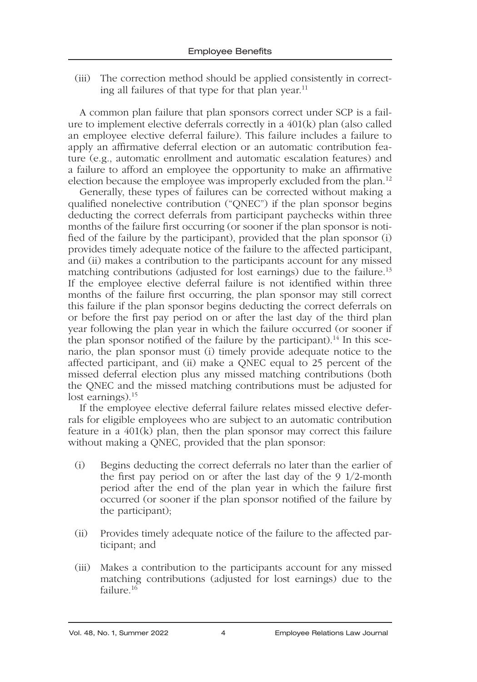(iii) The correction method should be applied consistently in correcting all failures of that type for that plan year.11

A common plan failure that plan sponsors correct under SCP is a failure to implement elective deferrals correctly in a 401(k) plan (also called an employee elective deferral failure). This failure includes a failure to apply an affirmative deferral election or an automatic contribution feature (e.g., automatic enrollment and automatic escalation features) and a failure to afford an employee the opportunity to make an affirmative election because the employee was improperly excluded from the plan.12

Generally, these types of failures can be corrected without making a qualified nonelective contribution ("QNEC") if the plan sponsor begins deducting the correct deferrals from participant paychecks within three months of the failure first occurring (or sooner if the plan sponsor is notified of the failure by the participant), provided that the plan sponsor (i) provides timely adequate notice of the failure to the affected participant, and (ii) makes a contribution to the participants account for any missed matching contributions (adjusted for lost earnings) due to the failure.<sup>13</sup> If the employee elective deferral failure is not identified within three months of the failure first occurring, the plan sponsor may still correct this failure if the plan sponsor begins deducting the correct deferrals on or before the first pay period on or after the last day of the third plan year following the plan year in which the failure occurred (or sooner if the plan sponsor notified of the failure by the participant).<sup>14</sup> In this scenario, the plan sponsor must (i) timely provide adequate notice to the affected participant, and (ii) make a QNEC equal to 25 percent of the missed deferral election plus any missed matching contributions (both the QNEC and the missed matching contributions must be adjusted for lost earnings).<sup>15</sup>

If the employee elective deferral failure relates missed elective deferrals for eligible employees who are subject to an automatic contribution feature in a 401(k) plan, then the plan sponsor may correct this failure without making a QNEC, provided that the plan sponsor:

- (i) Begins deducting the correct deferrals no later than the earlier of the first pay period on or after the last day of the 9 1/2-month period after the end of the plan year in which the failure first occurred (or sooner if the plan sponsor notified of the failure by the participant);
- (ii) Provides timely adequate notice of the failure to the affected participant; and
- (iii) Makes a contribution to the participants account for any missed matching contributions (adjusted for lost earnings) due to the failure.<sup>16</sup>

### Vol. 48, No. 1, Summer 2022 4 Employee Relations Law Journal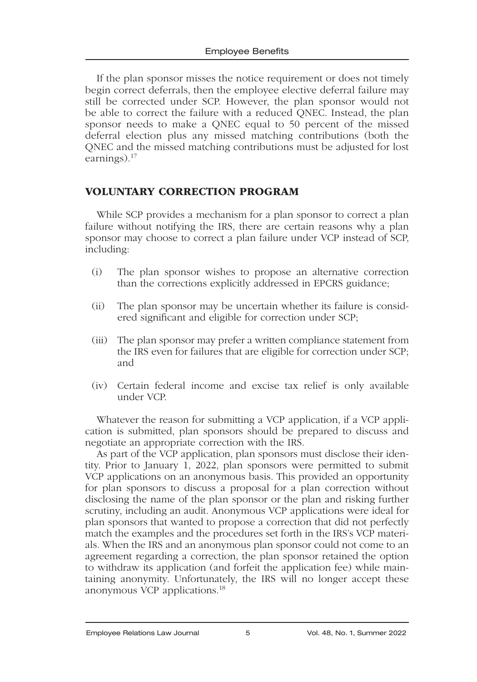If the plan sponsor misses the notice requirement or does not timely begin correct deferrals, then the employee elective deferral failure may still be corrected under SCP. However, the plan sponsor would not be able to correct the failure with a reduced QNEC. Instead, the plan sponsor needs to make a QNEC equal to 50 percent of the missed deferral election plus any missed matching contributions (both the QNEC and the missed matching contributions must be adjusted for lost earnings).<sup>17</sup>

# VOLUNTARY CORRECTION PROGRAM

While SCP provides a mechanism for a plan sponsor to correct a plan failure without notifying the IRS, there are certain reasons why a plan sponsor may choose to correct a plan failure under VCP instead of SCP, including:

- (i) The plan sponsor wishes to propose an alternative correction than the corrections explicitly addressed in EPCRS guidance;
- (ii) The plan sponsor may be uncertain whether its failure is considered significant and eligible for correction under SCP;
- (iii) The plan sponsor may prefer a written compliance statement from the IRS even for failures that are eligible for correction under SCP; and
- (iv) Certain federal income and excise tax relief is only available under VCP.

Whatever the reason for submitting a VCP application, if a VCP application is submitted, plan sponsors should be prepared to discuss and negotiate an appropriate correction with the IRS.

As part of the VCP application, plan sponsors must disclose their identity. Prior to January 1, 2022, plan sponsors were permitted to submit VCP applications on an anonymous basis. This provided an opportunity for plan sponsors to discuss a proposal for a plan correction without disclosing the name of the plan sponsor or the plan and risking further scrutiny, including an audit. Anonymous VCP applications were ideal for plan sponsors that wanted to propose a correction that did not perfectly match the examples and the procedures set forth in the IRS's VCP materials. When the IRS and an anonymous plan sponsor could not come to an agreement regarding a correction, the plan sponsor retained the option to withdraw its application (and forfeit the application fee) while maintaining anonymity. Unfortunately, the IRS will no longer accept these anonymous VCP applications.18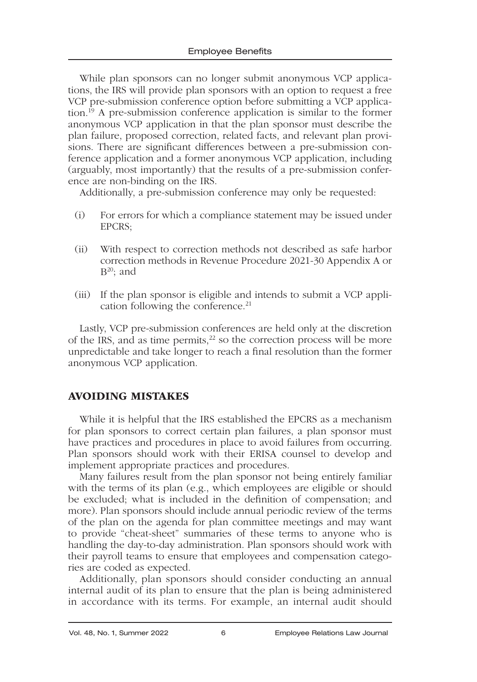While plan sponsors can no longer submit anonymous VCP applications, the IRS will provide plan sponsors with an option to request a free VCP pre-submission conference option before submitting a VCP application.19 A pre-submission conference application is similar to the former anonymous VCP application in that the plan sponsor must describe the plan failure, proposed correction, related facts, and relevant plan provisions. There are significant differences between a pre-submission conference application and a former anonymous VCP application, including (arguably, most importantly) that the results of a pre-submission conference are non-binding on the IRS.

Additionally, a pre-submission conference may only be requested:

- (i) For errors for which a compliance statement may be issued under EPCRS;
- (ii) With respect to correction methods not described as safe harbor correction methods in Revenue Procedure 2021-30 Appendix A or  $B^{20}$ ; and
- (iii) If the plan sponsor is eligible and intends to submit a VCP application following the conference.<sup>21</sup>

Lastly, VCP pre-submission conferences are held only at the discretion of the IRS, and as time permits, $2^{2}$  so the correction process will be more unpredictable and take longer to reach a final resolution than the former anonymous VCP application.

# AVOIDING MISTAKES

While it is helpful that the IRS established the EPCRS as a mechanism for plan sponsors to correct certain plan failures, a plan sponsor must have practices and procedures in place to avoid failures from occurring. Plan sponsors should work with their ERISA counsel to develop and implement appropriate practices and procedures.

Many failures result from the plan sponsor not being entirely familiar with the terms of its plan (e.g., which employees are eligible or should be excluded; what is included in the definition of compensation; and more). Plan sponsors should include annual periodic review of the terms of the plan on the agenda for plan committee meetings and may want to provide "cheat-sheet" summaries of these terms to anyone who is handling the day-to-day administration. Plan sponsors should work with their payroll teams to ensure that employees and compensation categories are coded as expected.

Additionally, plan sponsors should consider conducting an annual internal audit of its plan to ensure that the plan is being administered in accordance with its terms. For example, an internal audit should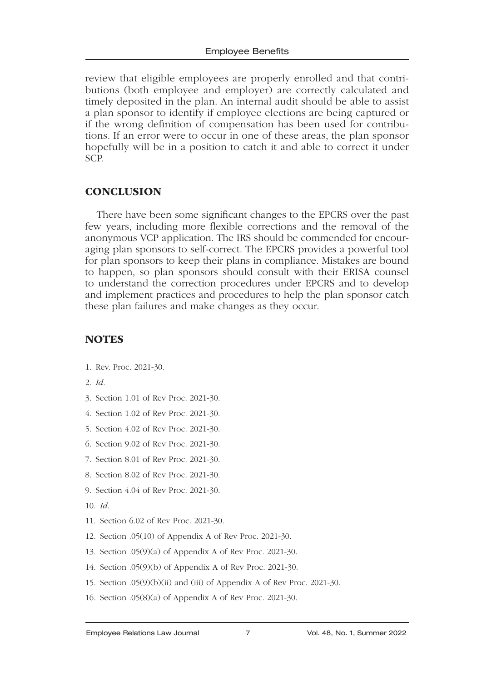review that eligible employees are properly enrolled and that contributions (both employee and employer) are correctly calculated and timely deposited in the plan. An internal audit should be able to assist a plan sponsor to identify if employee elections are being captured or if the wrong definition of compensation has been used for contributions. If an error were to occur in one of these areas, the plan sponsor hopefully will be in a position to catch it and able to correct it under SCP.

## **CONCLUSION**

There have been some significant changes to the EPCRS over the past few years, including more flexible corrections and the removal of the anonymous VCP application. The IRS should be commended for encouraging plan sponsors to self-correct. The EPCRS provides a powerful tool for plan sponsors to keep their plans in compliance. Mistakes are bound to happen, so plan sponsors should consult with their ERISA counsel to understand the correction procedures under EPCRS and to develop and implement practices and procedures to help the plan sponsor catch these plan failures and make changes as they occur.

# **NOTES**

- 1. Rev. Proc. 2021-30.
- 2. *Id*.
- 3. Section 1.01 of Rev Proc. 2021-30.
- 4. Section 1.02 of Rev Proc. 2021-30.
- 5. Section 4.02 of Rev Proc. 2021-30.
- 6. Section 9.02 of Rev Proc. 2021-30.
- 7. Section 8.01 of Rev Proc. 2021-30.
- 8. Section 8.02 of Rev Proc. 2021-30.
- 9. Section 4.04 of Rev Proc. 2021-30.
- 10. *Id*.
- 11. Section 6.02 of Rev Proc. 2021-30.
- 12. Section .05(10) of Appendix A of Rev Proc. 2021-30.
- 13. Section .05(9)(a) of Appendix A of Rev Proc. 2021-30.
- 14. Section .05(9)(b) of Appendix A of Rev Proc. 2021-30.
- 15. Section .05(9)(b)(ii) and (iii) of Appendix A of Rev Proc. 2021-30.
- 16. Section .05(8)(a) of Appendix A of Rev Proc. 2021-30.